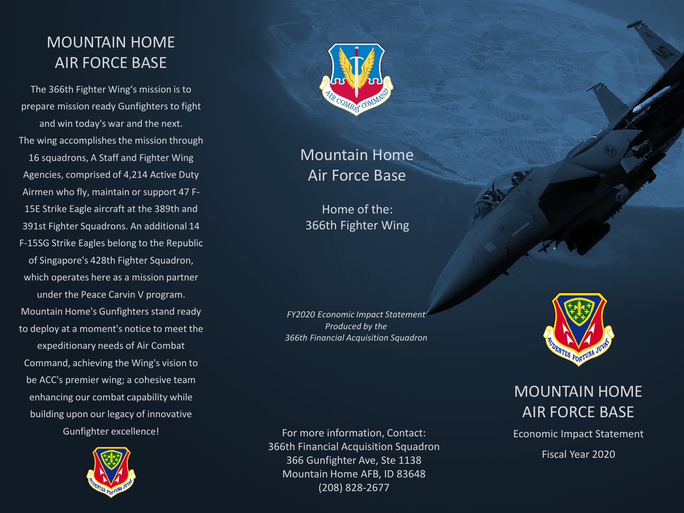## MOUNTAIN HOME AIR FORCE BASE

The 366th Fighter Wing's mission is to prepare mission ready Gunfighters to fight and win today's war and the next. The wing accomplishes the mission through 16 squadrons, A Staff and Fighter Wing Agencies, comprised of 4,214 Active Duty Airmen who fly, maintain or support 47 F-15E Strike Eagle aircraft at the 389th and 391st Fighter Squadrons. An additional 14 F-15SG Strike Eagles belong to the Republic of Singapore's 428th Fighter Squadron, which operates here as a mission partner under the Peace Carvin V program. Mountain Home's Gunfighters stand ready to deploy at a moment's notice to meet the expeditionary needs of Air Combat Command, achieving the Wing's vision to be ACC's premier wing; a cohesive team enhancing our combat capability while building upon our legacy of innovative Gunfighter excellence!





Mountain Home Air Force Base

Home of the: 366th Fighter Wing

*FY2020 Economic Impact Statement Produced by the 366th Financial Acquisition Squadron*

For more information, Contact: 366th Financial Acquisition Squadron 366 Gunfighter Ave, Ste 1138 Mountain Home AFB, ID 83648 (208) 828-2677



## MOUNTAIN HOME AIR FORCE BASE

Economic Impact Statement

Fiscal Year 2020